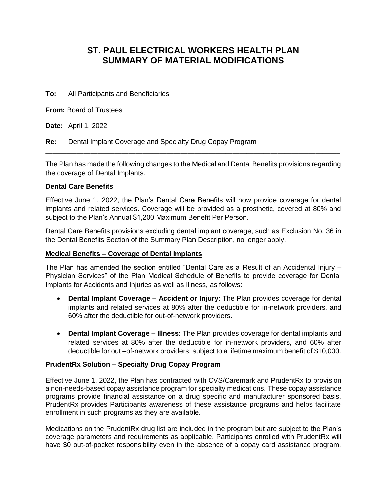## **ST. PAUL ELECTRICAL WORKERS HEALTH PLAN SUMMARY OF MATERIAL MODIFICATIONS**

**To:** All Participants and Beneficiaries

**From:** Board of Trustees

**Date:** April 1, 2022

**Re:** Dental Implant Coverage and Specialty Drug Copay Program

The Plan has made the following changes to the Medical and Dental Benefits provisions regarding the coverage of Dental Implants.

\_\_\_\_\_\_\_\_\_\_\_\_\_\_\_\_\_\_\_\_\_\_\_\_\_\_\_\_\_\_\_\_\_\_\_\_\_\_\_\_\_\_\_\_\_\_\_\_\_\_\_\_\_\_\_\_\_\_\_\_\_\_\_\_\_\_\_\_\_\_\_\_\_\_\_\_\_\_\_\_\_\_\_\_\_

## **Dental Care Benefits**

Effective June 1, 2022, the Plan's Dental Care Benefits will now provide coverage for dental implants and related services. Coverage will be provided as a prosthetic, covered at 80% and subject to the Plan's Annual \$1,200 Maximum Benefit Per Person.

Dental Care Benefits provisions excluding dental implant coverage, such as Exclusion No. 36 in the Dental Benefits Section of the Summary Plan Description, no longer apply.

## **Medical Benefits – Coverage of Dental Implants**

The Plan has amended the section entitled "Dental Care as a Result of an Accidental Injury – Physician Services" of the Plan Medical Schedule of Benefits to provide coverage for Dental Implants for Accidents and Injuries as well as Illness, as follows:

- **Dental Implant Coverage Accident or Injury:** The Plan provides coverage for dental implants and related services at 80% after the deductible for in-network providers, and 60% after the deductible for out-of-network providers.
- **Dental Implant Coverage – Illness**: The Plan provides coverage for dental implants and related services at 80% after the deductible for in-network providers, and 60% after deductible for out –of-network providers; subject to a lifetime maximum benefit of \$10,000.

## **PrudentRx Solution – Specialty Drug Copay Program**

Effective June 1, 2022, the Plan has contracted with CVS/Caremark and PrudentRx to provision a non-needs-based copay assistance program for specialty medications. These copay assistance programs provide financial assistance on a drug specific and manufacturer sponsored basis. PrudentRx provides Participants awareness of these assistance programs and helps facilitate enrollment in such programs as they are available.

Medications on the PrudentRx drug list are included in the program but are subject to the Plan's coverage parameters and requirements as applicable. Participants enrolled with PrudentRx will have \$0 out-of-pocket responsibility even in the absence of a copay card assistance program.